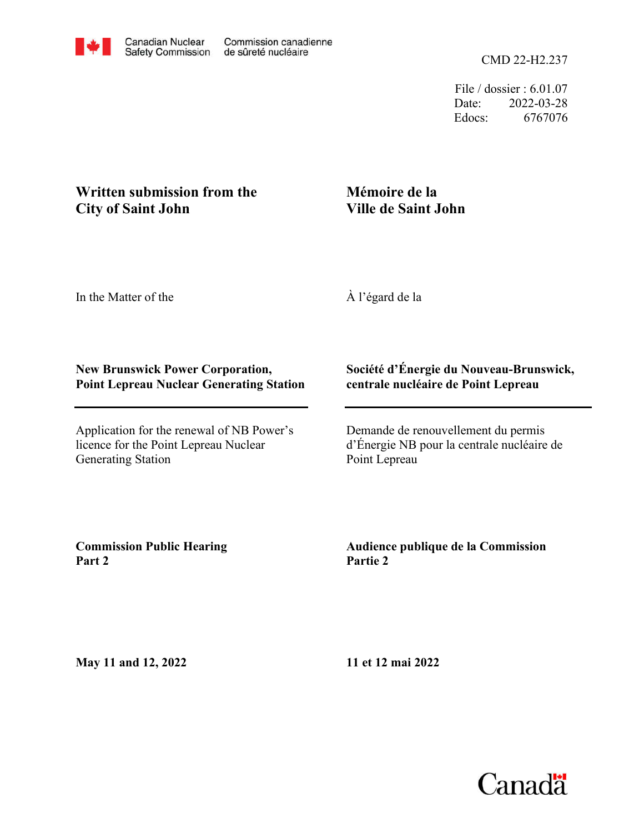File / dossier : 6.01.07 Date: 2022-03-28 Edocs: 6767076

## **Written submission from the City of Saint John**

# **Mémoire de la Ville de Saint John**

In the Matter of the

À l'égard de la

### **New Brunswick Power Corporation, Point Lepreau Nuclear Generating Station**

Application for the renewal of NB Power's licence for the Point Lepreau Nuclear Generating Station

#### **Société d'Énergie du Nouveau-Brunswick, centrale nucléaire de Point Lepreau**

Demande de renouvellement du permis d'Énergie NB pour la centrale nucléaire de Point Lepreau

**Commission Public Hearing Part 2**

### **Audience publique de la Commission Partie 2**

**May 11 and 12, 2022**

**11 et 12 mai 2022**

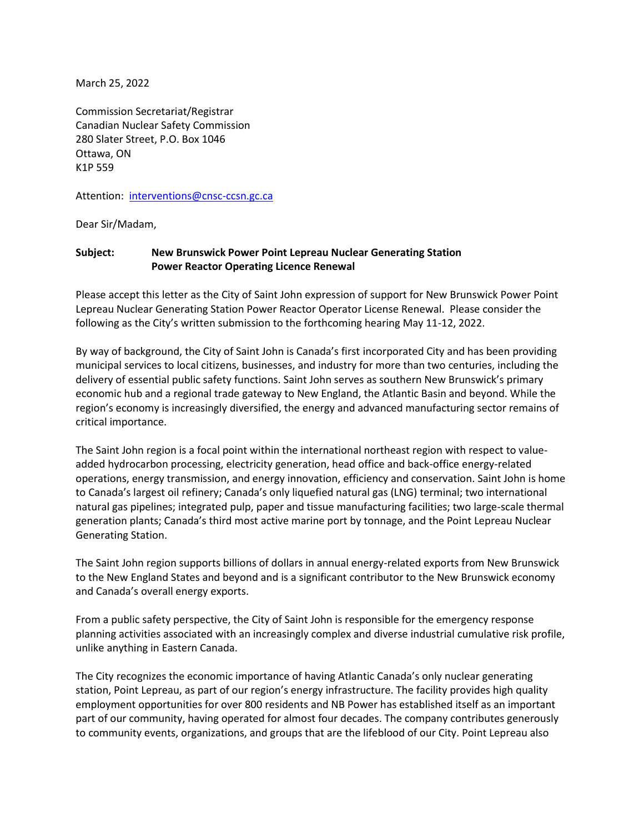March 25, 2022

Commission Secretariat/Registrar Canadian Nuclear Safety Commission 280 Slater Street, P.O. Box 1046 Ottawa, ON K1P 559

Attention: [interventions@cnsc-ccsn.gc.ca](mailto:interventions@cnsc-ccsn.gc.ca)

Dear Sir/Madam,

#### **Subject: New Brunswick Power Point Lepreau Nuclear Generating Station Power Reactor Operating Licence Renewal**

Please accept this letter as the City of Saint John expression of support for New Brunswick Power Point Lepreau Nuclear Generating Station Power Reactor Operator License Renewal. Please consider the following as the City's written submission to the forthcoming hearing May 11-12, 2022.

By way of background, the City of Saint John is Canada's first incorporated City and has been providing municipal services to local citizens, businesses, and industry for more than two centuries, including the delivery of essential public safety functions. Saint John serves as southern New Brunswick's primary economic hub and a regional trade gateway to New England, the Atlantic Basin and beyond. While the region's economy is increasingly diversified, the energy and advanced manufacturing sector remains of critical importance.

The Saint John region is a focal point within the international northeast region with respect to valueadded hydrocarbon processing, electricity generation, head office and back-office energy-related operations, energy transmission, and energy innovation, efficiency and conservation. Saint John is home to Canada's largest oil refinery; Canada's only liquefied natural gas (LNG) terminal; two international natural gas pipelines; integrated pulp, paper and tissue manufacturing facilities; two large-scale thermal generation plants; Canada's third most active marine port by tonnage, and the Point Lepreau Nuclear Generating Station.

The Saint John region supports billions of dollars in annual energy-related exports from New Brunswick to the New England States and beyond and is a significant contributor to the New Brunswick economy and Canada's overall energy exports.

From a public safety perspective, the City of Saint John is responsible for the emergency response planning activities associated with an increasingly complex and diverse industrial cumulative risk profile, unlike anything in Eastern Canada.

The City recognizes the economic importance of having Atlantic Canada's only nuclear generating station, Point Lepreau, as part of our region's energy infrastructure. The facility provides high quality employment opportunities for over 800 residents and NB Power has established itself as an important part of our community, having operated for almost four decades. The company contributes generously to community events, organizations, and groups that are the lifeblood of our City. Point Lepreau also